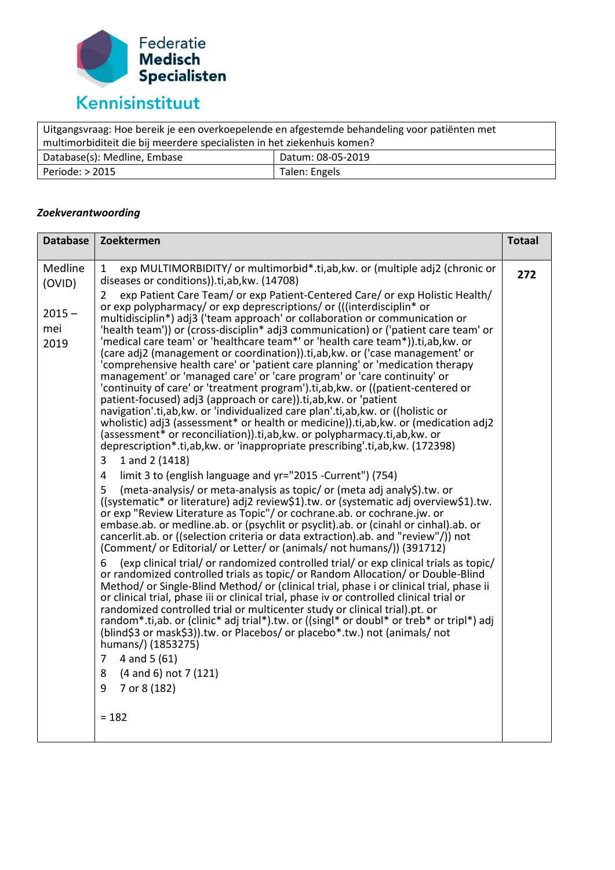

| Uitgangsvraag: Hoe bereik je een overkoepelende en afgestemde behandeling voor patiënten met |                   |  |
|----------------------------------------------------------------------------------------------|-------------------|--|
| multimorbiditeit die bij meerdere specialisten in het ziekenhuis komen?                      |                   |  |
| Database(s): Medline, Embase                                                                 | Datum: 08-05-2019 |  |
| Periode: $> 2015$                                                                            | Talen: Engels     |  |

## *Zoekverantwoording*

| <b>Database</b>         | Zoektermen                                                                                                                                                                                                                                                                                                                                                                                                                                                                                                                                                                                                                                                                                                                                                                                                                                                                                                                                                                                                                                                                                                                                                                                                                                                                                                                                                                                                                                                                                                                                                                                                                                                                                                                                                                                                                                                                                                                                                                                                                                                                                                                                                                                                                                                                                                                                                                                                                                                                                                                            | <b>Totaal</b> |
|-------------------------|---------------------------------------------------------------------------------------------------------------------------------------------------------------------------------------------------------------------------------------------------------------------------------------------------------------------------------------------------------------------------------------------------------------------------------------------------------------------------------------------------------------------------------------------------------------------------------------------------------------------------------------------------------------------------------------------------------------------------------------------------------------------------------------------------------------------------------------------------------------------------------------------------------------------------------------------------------------------------------------------------------------------------------------------------------------------------------------------------------------------------------------------------------------------------------------------------------------------------------------------------------------------------------------------------------------------------------------------------------------------------------------------------------------------------------------------------------------------------------------------------------------------------------------------------------------------------------------------------------------------------------------------------------------------------------------------------------------------------------------------------------------------------------------------------------------------------------------------------------------------------------------------------------------------------------------------------------------------------------------------------------------------------------------------------------------------------------------------------------------------------------------------------------------------------------------------------------------------------------------------------------------------------------------------------------------------------------------------------------------------------------------------------------------------------------------------------------------------------------------------------------------------------------------|---------------|
| Medline<br>(OVID)       | exp MULTIMORBIDITY/ or multimorbid*.ti,ab, kw. or (multiple adj2 (chronic or<br>1<br>diseases or conditions)).ti,ab, kw. (14708)                                                                                                                                                                                                                                                                                                                                                                                                                                                                                                                                                                                                                                                                                                                                                                                                                                                                                                                                                                                                                                                                                                                                                                                                                                                                                                                                                                                                                                                                                                                                                                                                                                                                                                                                                                                                                                                                                                                                                                                                                                                                                                                                                                                                                                                                                                                                                                                                      | 272           |
| $2015 -$<br>mei<br>2019 | exp Patient Care Team/ or exp Patient-Centered Care/ or exp Holistic Health/<br>2<br>or exp polypharmacy/ or exp deprescriptions/ or (((interdisciplin <sup>*</sup> or<br>multidisciplin*) adj3 ('team approach' or collaboration or communication or<br>'health team')) or (cross-disciplin* adj3 communication) or ('patient care team' or<br>'medical care team' or 'healthcare team*' or 'health care team*)).ti,ab, kw. or<br>(care adj2 (management or coordination)).ti,ab, kw. or ('case management' or<br>'comprehensive health care' or 'patient care planning' or 'medication therapy<br>management' or 'managed care' or 'care program' or 'care continuity' or<br>'continuity of care' or 'treatment program').ti, ab, kw. or ((patient-centered or<br>patient-focused) adj3 (approach or care)).ti,ab, kw. or 'patient<br>navigation'.ti,ab, kw. or 'individualized care plan'.ti,ab, kw. or ((holistic or<br>wholistic) adj3 (assessment* or health or medicine)).ti,ab,kw. or (medication adj2<br>(assessment* or reconciliation)).ti,ab, kw. or polypharmacy.ti,ab, kw. or<br>deprescription*.ti,ab, kw. or 'inappropriate prescribing'.ti,ab, kw. (172398)<br>1 and 2 (1418)<br>3<br>limit 3 to (english language and yr="2015 -Current") (754)<br>4<br>(meta-analysis/ or meta-analysis as topic/ or (meta adj analy\$).tw. or<br>5<br>((systematic* or literature) adj2 review\$1).tw. or (systematic adj overview\$1).tw.<br>or exp "Review Literature as Topic"/ or cochrane.ab. or cochrane.jw. or<br>embase.ab. or medline.ab. or (psychlit or psyclit).ab. or (cinahl or cinhal).ab. or<br>cancerlit.ab. or ((selection criteria or data extraction).ab. and "review"/)) not<br>(Comment/ or Editorial/ or Letter/ or (animals/ not humans/)) (391712)<br>(exp clinical trial/ or randomized controlled trial/ or exp clinical trials as topic/<br>6<br>or randomized controlled trials as topic/ or Random Allocation/ or Double-Blind<br>Method/ or Single-Blind Method/ or (clinical trial, phase i or clinical trial, phase ii<br>or clinical trial, phase iii or clinical trial, phase iv or controlled clinical trial or<br>randomized controlled trial or multicenter study or clinical trial).pt. or<br>random*.ti,ab. or (clinic* adj trial*).tw. or ((singl* or doubl* or treb* or tripl*) adj<br>(blind\$3 or mask\$3)).tw. or Placebos/ or placebo*.tw.) not (animals/ not<br>humans/) (1853275)<br>4 and 5 (61)<br>$\overline{7}$<br>(4 and 6) not 7 (121)<br>8<br>7 or 8 (182)<br>9<br>$= 182$ |               |